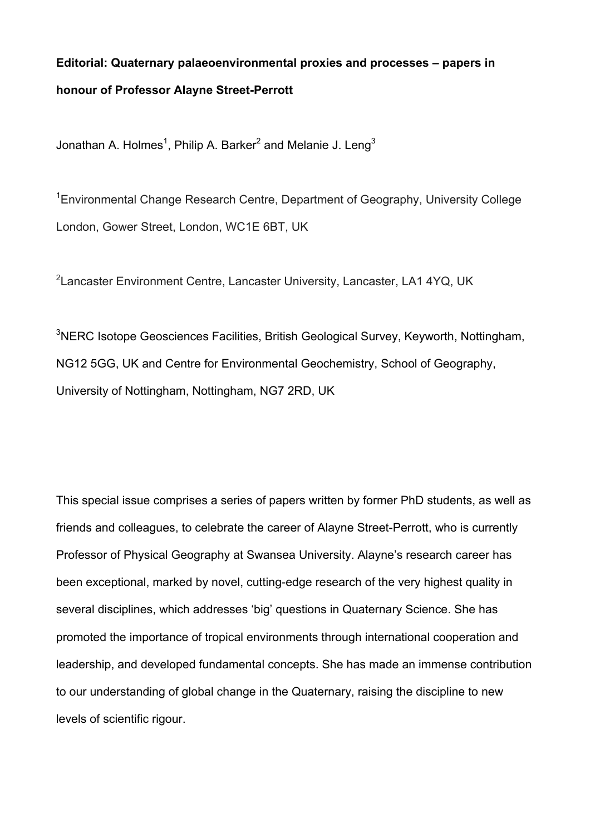## **Editorial: Quaternary palaeoenvironmental proxies and processes – papers in honour of Professor Alayne Street-Perrott**

Jonathan A. Holmes $^1$ , Philip A. Barker $^2$  and Melanie J. Leng $^3$ 

<sup>1</sup> Environmental Change Research Centre, Department of Geography, University College London, Gower Street, London, WC1E 6BT, UK

 ${}^{2}$ Lancaster Environment Centre, Lancaster University, Lancaster, LA1 4YQ, UK

 $3$ NERC Isotope Geosciences Facilities, British Geological Survey, Keyworth, Nottingham, NG12 5GG, UK and Centre for Environmental Geochemistry, School of Geography, University of Nottingham, Nottingham, NG7 2RD, UK

This special issue comprises a series of papers written by former PhD students, as well as friends and colleagues, to celebrate the career of Alayne Street-Perrott, who is currently Professor of Physical Geography at Swansea University. Alayne's research career has been exceptional, marked by novel, cutting-edge research of the very highest quality in several disciplines, which addresses 'big' questions in Quaternary Science. She has promoted the importance of tropical environments through international cooperation and leadership, and developed fundamental concepts. She has made an immense contribution to our understanding of global change in the Quaternary, raising the discipline to new levels of scientific rigour.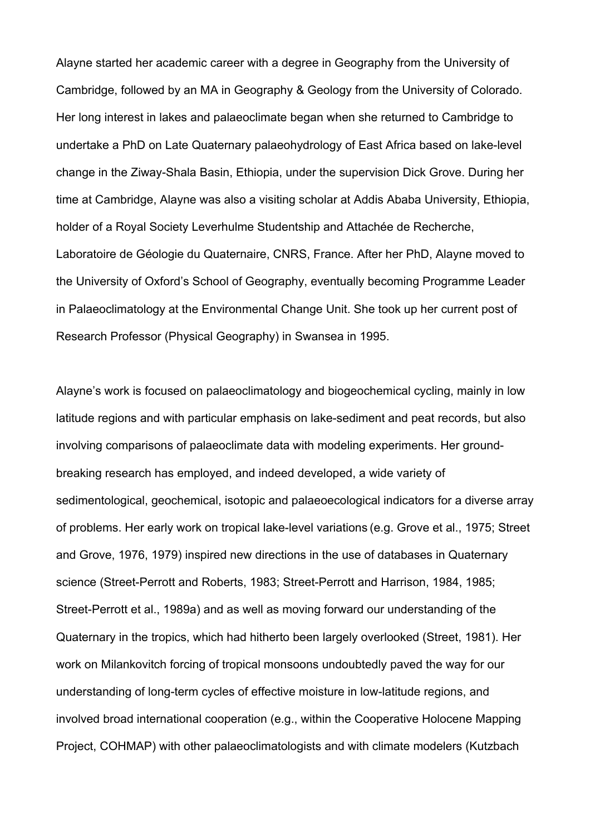Alayne started her academic career with a degree in Geography from the University of Cambridge, followed by an MA in Geography & Geology from the University of Colorado. Her long interest in lakes and palaeoclimate began when she returned to Cambridge to undertake a PhD on Late Quaternary palaeohydrology of East Africa based on lake-level change in the Ziway-Shala Basin, Ethiopia, under the supervision Dick Grove. During her time at Cambridge, Alayne was also a visiting scholar at Addis Ababa University, Ethiopia, holder of a Royal Society Leverhulme Studentship and Attachée de Recherche, Laboratoire de Géologie du Quaternaire, CNRS, France. After her PhD, Alayne moved to the University of Oxford's School of Geography, eventually becoming Programme Leader in Palaeoclimatology at the Environmental Change Unit. She took up her current post of Research Professor (Physical Geography) in Swansea in 1995.

Alayne's work is focused on palaeoclimatology and biogeochemical cycling, mainly in low latitude regions and with particular emphasis on lake-sediment and peat records, but also involving comparisons of palaeoclimate data with modeling experiments. Her groundbreaking research has employed, and indeed developed, a wide variety of sedimentological, geochemical, isotopic and palaeoecological indicators for a diverse array of problems. Her early work on tropical lake-level variations (e.g. Grove et al., 1975; Street and Grove, 1976, 1979) inspired new directions in the use of databases in Quaternary science (Street-Perrott and Roberts, 1983; Street-Perrott and Harrison, 1984, 1985; Street-Perrott et al., 1989a) and as well as moving forward our understanding of the Quaternary in the tropics, which had hitherto been largely overlooked (Street, 1981). Her work on Milankovitch forcing of tropical monsoons undoubtedly paved the way for our understanding of long-term cycles of effective moisture in low-latitude regions, and involved broad international cooperation (e.g., within the Cooperative Holocene Mapping Project, COHMAP) with other palaeoclimatologists and with climate modelers (Kutzbach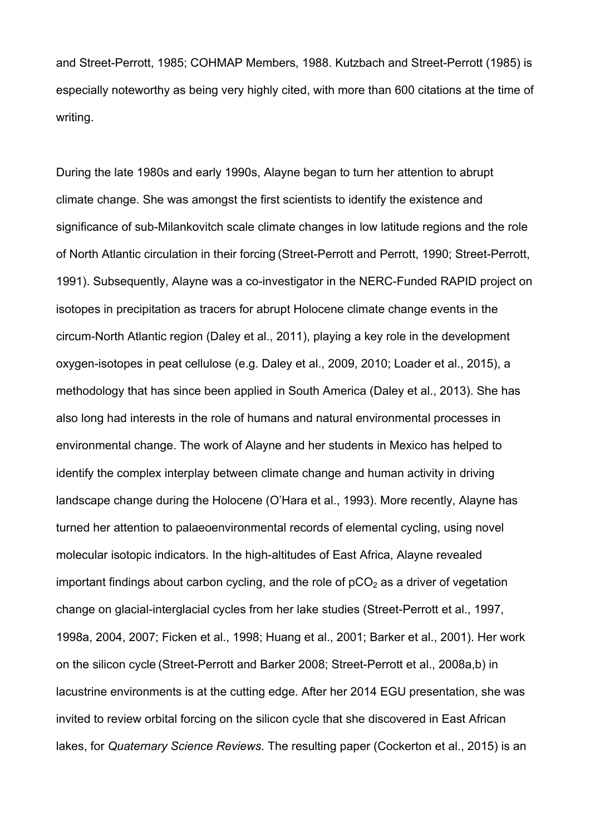and Street-Perrott, 1985; COHMAP Members, 1988. Kutzbach and Street-Perrott (1985) is especially noteworthy as being very highly cited, with more than 600 citations at the time of writing.

During the late 1980s and early 1990s, Alayne began to turn her attention to abrupt climate change. She was amongst the first scientists to identify the existence and significance of sub-Milankovitch scale climate changes in low latitude regions and the role of North Atlantic circulation in their forcing (Street-Perrott and Perrott, 1990; Street-Perrott, 1991). Subsequently, Alayne was a co-investigator in the NERC-Funded RAPID project on isotopes in precipitation as tracers for abrupt Holocene climate change events in the circum-North Atlantic region (Daley et al., 2011), playing a key role in the development oxygen-isotopes in peat cellulose (e.g. Daley et al., 2009, 2010; Loader et al., 2015), a methodology that has since been applied in South America (Daley et al., 2013). She has also long had interests in the role of humans and natural environmental processes in environmental change. The work of Alayne and her students in Mexico has helped to identify the complex interplay between climate change and human activity in driving landscape change during the Holocene (O'Hara et al., 1993). More recently, Alayne has turned her attention to palaeoenvironmental records of elemental cycling, using novel molecular isotopic indicators. In the high-altitudes of East Africa, Alayne revealed important findings about carbon cycling, and the role of  $pCO<sub>2</sub>$  as a driver of vegetation change on glacial-interglacial cycles from her lake studies (Street-Perrott et al., 1997, 1998a, 2004, 2007; Ficken et al., 1998; Huang et al., 2001; Barker et al., 2001). Her work on the silicon cycle (Street-Perrott and Barker 2008; Street-Perrott et al., 2008a,b) in lacustrine environments is at the cutting edge. After her 2014 EGU presentation, she was invited to review orbital forcing on the silicon cycle that she discovered in East African lakes, for *Quaternary Science Reviews*. The resulting paper (Cockerton et al., 2015) is an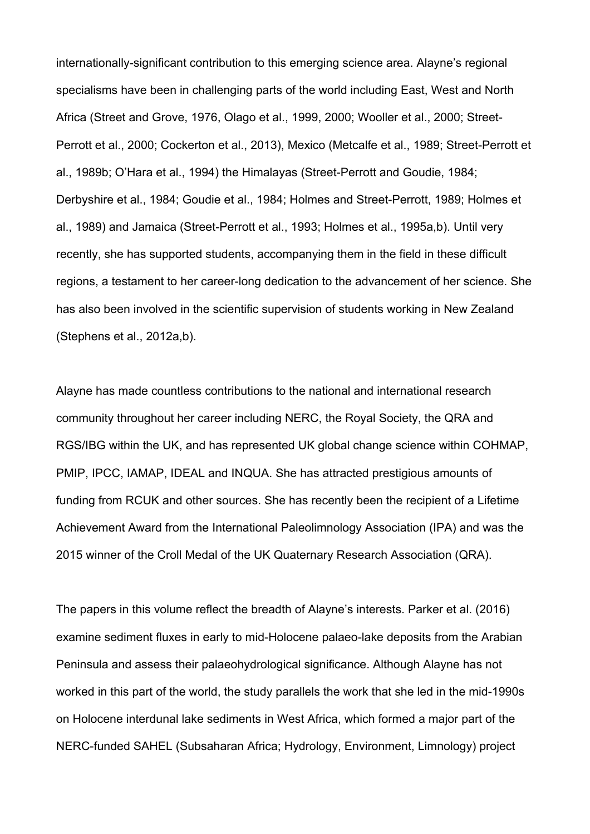internationally-significant contribution to this emerging science area. Alayne's regional specialisms have been in challenging parts of the world including East, West and North Africa (Street and Grove, 1976, Olago et al., 1999, 2000; Wooller et al., 2000; Street-Perrott et al., 2000; Cockerton et al., 2013), Mexico (Metcalfe et al., 1989; Street-Perrott et al., 1989b; O'Hara et al., 1994) the Himalayas (Street-Perrott and Goudie, 1984; Derbyshire et al., 1984; Goudie et al., 1984; Holmes and Street-Perrott, 1989; Holmes et al., 1989) and Jamaica (Street-Perrott et al., 1993; Holmes et al., 1995a,b). Until very recently, she has supported students, accompanying them in the field in these difficult regions, a testament to her career-long dedication to the advancement of her science. She has also been involved in the scientific supervision of students working in New Zealand (Stephens et al., 2012a,b).

Alayne has made countless contributions to the national and international research community throughout her career including NERC, the Royal Society, the QRA and RGS/IBG within the UK, and has represented UK global change science within COHMAP, PMIP, IPCC, IAMAP, IDEAL and INQUA. She has attracted prestigious amounts of funding from RCUK and other sources. She has recently been the recipient of a Lifetime Achievement Award from the International Paleolimnology Association (IPA) and was the 2015 winner of the Croll Medal of the UK Quaternary Research Association (QRA).

The papers in this volume reflect the breadth of Alayne's interests. Parker et al. (2016) examine sediment fluxes in early to mid-Holocene palaeo-lake deposits from the Arabian Peninsula and assess their palaeohydrological significance. Although Alayne has not worked in this part of the world, the study parallels the work that she led in the mid-1990s on Holocene interdunal lake sediments in West Africa, which formed a major part of the NERC-funded SAHEL (Subsaharan Africa; Hydrology, Environment, Limnology) project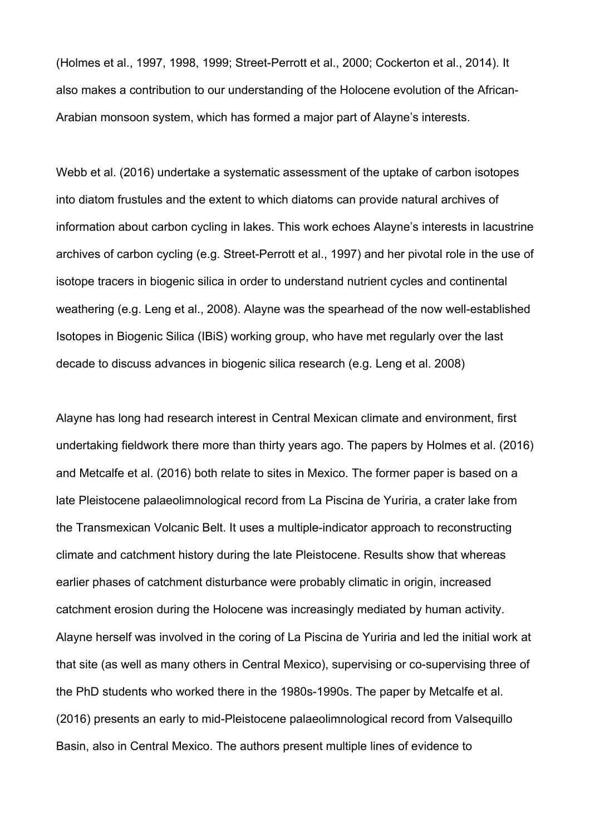(Holmes et al., 1997, 1998, 1999; Street-Perrott et al., 2000; Cockerton et al., 2014). It also makes a contribution to our understanding of the Holocene evolution of the African-Arabian monsoon system, which has formed a major part of Alayne's interests.

Webb et al. (2016) undertake a systematic assessment of the uptake of carbon isotopes into diatom frustules and the extent to which diatoms can provide natural archives of information about carbon cycling in lakes. This work echoes Alayne's interests in lacustrine archives of carbon cycling (e.g. Street-Perrott et al., 1997) and her pivotal role in the use of isotope tracers in biogenic silica in order to understand nutrient cycles and continental weathering (e.g. Leng et al., 2008). Alayne was the spearhead of the now well-established Isotopes in Biogenic Silica (IBiS) working group, who have met regularly over the last decade to discuss advances in biogenic silica research (e.g. Leng et al. 2008)

Alayne has long had research interest in Central Mexican climate and environment, first undertaking fieldwork there more than thirty years ago. The papers by Holmes et al. (2016) and Metcalfe et al. (2016) both relate to sites in Mexico. The former paper is based on a late Pleistocene palaeolimnological record from La Piscina de Yuriria, a crater lake from the Transmexican Volcanic Belt. It uses a multiple-indicator approach to reconstructing climate and catchment history during the late Pleistocene. Results show that whereas earlier phases of catchment disturbance were probably climatic in origin, increased catchment erosion during the Holocene was increasingly mediated by human activity. Alayne herself was involved in the coring of La Piscina de Yuriria and led the initial work at that site (as well as many others in Central Mexico), supervising or co-supervising three of the PhD students who worked there in the 1980s-1990s. The paper by Metcalfe et al. (2016) presents an early to mid-Pleistocene palaeolimnological record from Valsequillo Basin, also in Central Mexico. The authors present multiple lines of evidence to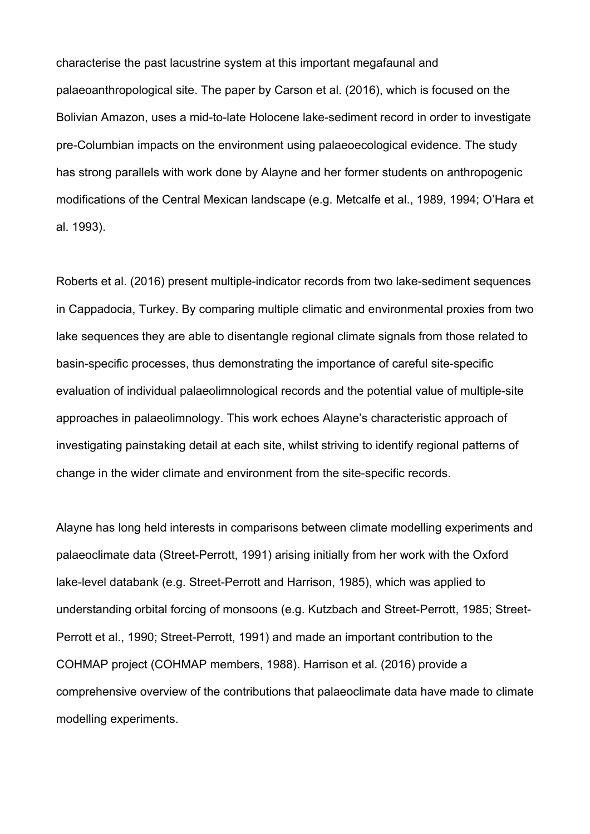characterise the past lacustrine system at this important megafaunal and palaeoanthropological site. The paper by Carson et al. (2016), which is focused on the Bolivian Amazon, uses a mid-to-late Holocene lake-sediment record in order to investigate pre-Columbian impacts on the environment using palaeoecological evidence. The study has strong parallels with work done by Alayne and her former students on anthropogenic modifications of the Central Mexican landscape (e.g. Metcalfe et al., 1989, 1994; O'Hara et al. 1993).

Roberts et al. (2016) present multiple-indicator records from two lake-sediment sequences in Cappadocia, Turkey. By comparing multiple climatic and environmental proxies from two lake sequences they are able to disentangle regional climate signals from those related to basin-specific processes, thus demonstrating the importance of careful site-specific evaluation of individual palaeolimnological records and the potential value of multiple-site approaches in palaeolimnology. This work echoes Alayne's characteristic approach of investigating painstaking detail at each site, whilst striving to identify regional patterns of change in the wider climate and environment from the site-specific records.

Alayne has long held interests in comparisons between climate modelling experiments and palaeoclimate data (Street-Perrott, 1991) arising initially from her work with the Oxford lake-level databank (e.g. Street-Perrott and Harrison, 1985), which was applied to understanding orbital forcing of monsoons (e.g. Kutzbach and Street-Perrott, 1985; Street-Perrott et al., 1990; Street-Perrott, 1991) and made an important contribution to the COHMAP project (COHMAP members, 1988). Harrison et al. (2016) provide a comprehensive overview of the contributions that palaeoclimate data have made to climate modelling experiments.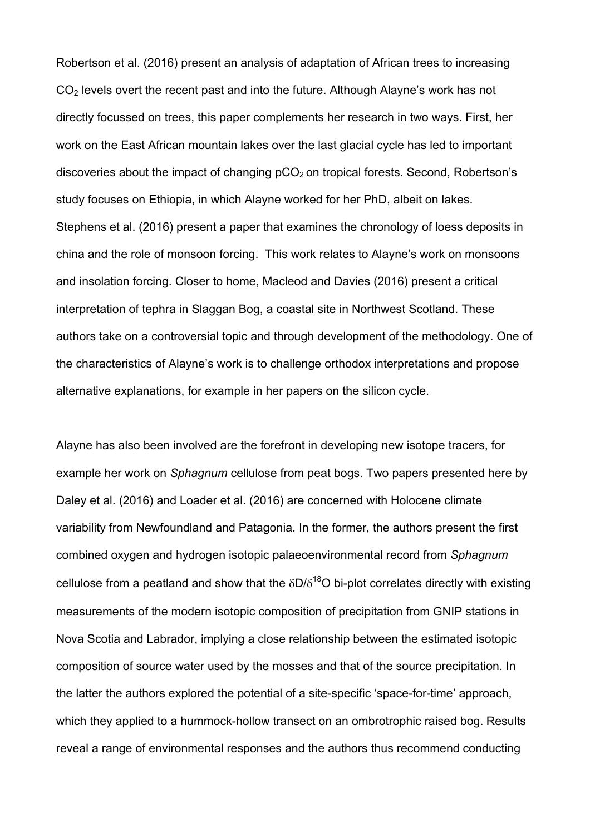Robertson et al. (2016) present an analysis of adaptation of African trees to increasing CO2 levels overt the recent past and into the future. Although Alayne's work has not directly focussed on trees, this paper complements her research in two ways. First, her work on the East African mountain lakes over the last glacial cycle has led to important discoveries about the impact of changing  $pCO<sub>2</sub>$  on tropical forests. Second, Robertson's study focuses on Ethiopia, in which Alayne worked for her PhD, albeit on lakes. Stephens et al. (2016) present a paper that examines the chronology of loess deposits in china and the role of monsoon forcing. This work relates to Alayne's work on monsoons and insolation forcing. Closer to home, Macleod and Davies (2016) present a critical interpretation of tephra in Slaggan Bog, a coastal site in Northwest Scotland. These authors take on a controversial topic and through development of the methodology. One of the characteristics of Alayne's work is to challenge orthodox interpretations and propose alternative explanations, for example in her papers on the silicon cycle.

Alayne has also been involved are the forefront in developing new isotope tracers, for example her work on *Sphagnum* cellulose from peat bogs. Two papers presented here by Daley et al. (2016) and Loader et al. (2016) are concerned with Holocene climate variability from Newfoundland and Patagonia. In the former, the authors present the first combined oxygen and hydrogen isotopic palaeoenvironmental record from *Sphagnum* cellulose from a peatland and show that the  $\delta D/\delta^{18}O$  bi-plot correlates directly with existing measurements of the modern isotopic composition of precipitation from GNIP stations in Nova Scotia and Labrador, implying a close relationship between the estimated isotopic composition of source water used by the mosses and that of the source precipitation. In the latter the authors explored the potential of a site-specific 'space-for-time' approach, which they applied to a hummock-hollow transect on an ombrotrophic raised bog. Results reveal a range of environmental responses and the authors thus recommend conducting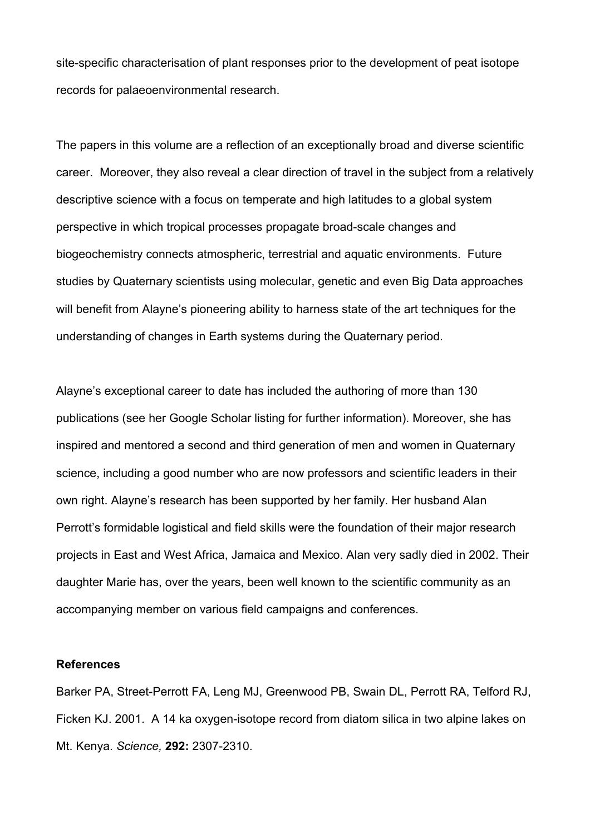site-specific characterisation of plant responses prior to the development of peat isotope records for palaeoenvironmental research.

The papers in this volume are a reflection of an exceptionally broad and diverse scientific career. Moreover, they also reveal a clear direction of travel in the subject from a relatively descriptive science with a focus on temperate and high latitudes to a global system perspective in which tropical processes propagate broad-scale changes and biogeochemistry connects atmospheric, terrestrial and aquatic environments. Future studies by Quaternary scientists using molecular, genetic and even Big Data approaches will benefit from Alayne's pioneering ability to harness state of the art techniques for the understanding of changes in Earth systems during the Quaternary period.

Alayne's exceptional career to date has included the authoring of more than 130 publications (see her Google Scholar listing for further information). Moreover, she has inspired and mentored a second and third generation of men and women in Quaternary science, including a good number who are now professors and scientific leaders in their own right. Alayne's research has been supported by her family. Her husband Alan Perrott's formidable logistical and field skills were the foundation of their major research projects in East and West Africa, Jamaica and Mexico. Alan very sadly died in 2002. Their daughter Marie has, over the years, been well known to the scientific community as an accompanying member on various field campaigns and conferences.

## **References**

Barker PA, Street-Perrott FA, Leng MJ, Greenwood PB, Swain DL, Perrott RA, Telford RJ, Ficken KJ. 2001. A 14 ka oxygen-isotope record from diatom silica in two alpine lakes on Mt. Kenya. *Science,* **292:** 2307-2310.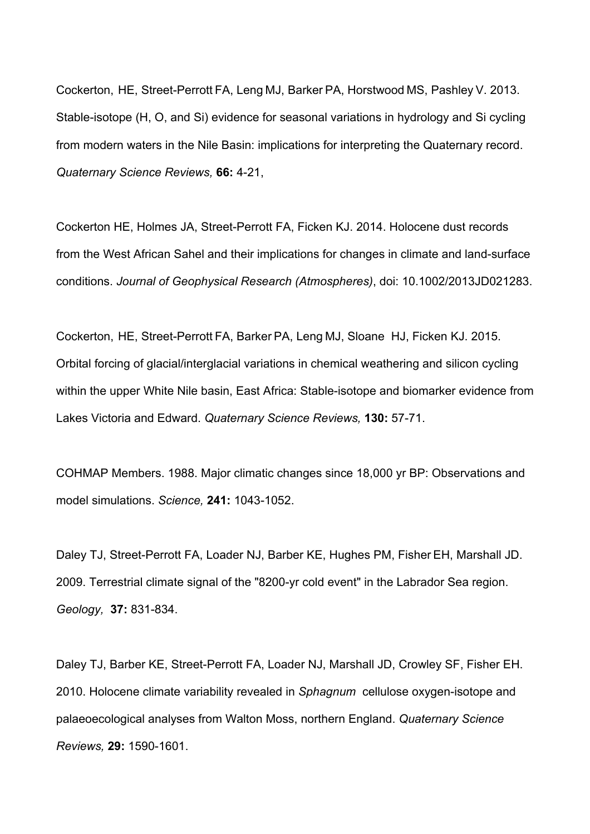Cockerton, HE, Street-Perrott FA, Leng MJ, Barker PA, Horstwood MS, Pashley V. 2013. Stable-isotope (H, O, and Si) evidence for seasonal variations in hydrology and Si cycling from modern waters in the Nile Basin: implications for interpreting the Quaternary record. *Quaternary Science Reviews,* **66:** 4-21,

Cockerton HE, Holmes JA, Street-Perrott FA, Ficken KJ. 2014. Holocene dust records from the West African Sahel and their implications for changes in climate and land-surface conditions. *Journal of Geophysical Research (Atmospheres)*, doi: 10.1002/2013JD021283.

Cockerton, HE, Street-Perrott FA, Barker PA, Leng MJ, Sloane HJ, Ficken KJ. 2015. Orbital forcing of glacial/interglacial variations in chemical weathering and silicon cycling within the upper White Nile basin, East Africa: Stable-isotope and biomarker evidence from Lakes Victoria and Edward. *Quaternary Science Reviews,* **130:** 57-71.

COHMAP Members. 1988. Major climatic changes since 18,000 yr BP: Observations and model simulations. *Science,* **241:** 1043-1052.

Daley TJ, Street-Perrott FA, Loader NJ, Barber KE, Hughes PM, Fisher EH, Marshall JD. 2009. Terrestrial climate signal of the "8200-yr cold event" in the Labrador Sea region. *Geology,* **37:** 831-834.

Daley TJ, Barber KE, Street-Perrott FA, Loader NJ, Marshall JD, Crowley SF, Fisher EH. 2010. Holocene climate variability revealed in *Sphagnum* cellulose oxygen-isotope and palaeoecological analyses from Walton Moss, northern England. *Quaternary Science Reviews,* **29:** 1590-1601.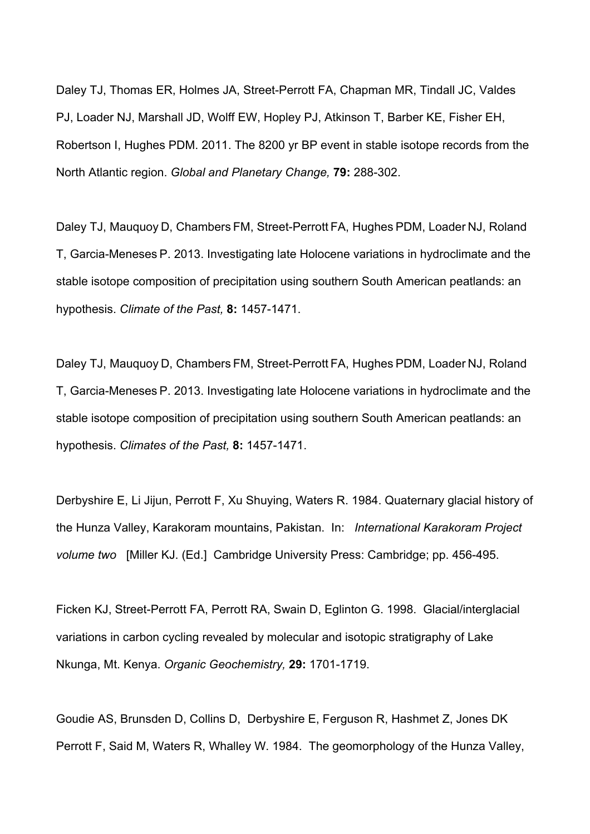Daley TJ, Thomas ER, Holmes JA, Street-Perrott FA, Chapman MR, Tindall JC, Valdes PJ, Loader NJ, Marshall JD, Wolff EW, Hopley PJ, Atkinson T, Barber KE, Fisher EH, Robertson I, Hughes PDM. 2011. The 8200 yr BP event in stable isotope records from the North Atlantic region. *Global and Planetary Change,* **79:** 288-302.

Daley TJ, Mauquoy D, Chambers FM, Street-Perrott FA, Hughes PDM, Loader NJ, Roland T, Garcia-Meneses P. 2013. Investigating late Holocene variations in hydroclimate and the stable isotope composition of precipitation using southern South American peatlands: an hypothesis. *Climate of the Past,* **8:** 1457-1471.

Daley TJ, Mauquoy D, Chambers FM, Street-Perrott FA, Hughes PDM, Loader NJ, Roland T, Garcia-Meneses P. 2013. Investigating late Holocene variations in hydroclimate and the stable isotope composition of precipitation using southern South American peatlands: an hypothesis. *Climates of the Past,* **8:** 1457-1471.

Derbyshire E, Li Jijun, Perrott F, Xu Shuying, Waters R. 1984. Quaternary glacial history of the Hunza Valley, Karakoram mountains, Pakistan. In: *International Karakoram Project volume two* [Miller KJ. (Ed.] Cambridge University Press: Cambridge; pp. 456-495.

Ficken KJ, Street-Perrott FA, Perrott RA, Swain D, Eglinton G. 1998. Glacial/interglacial variations in carbon cycling revealed by molecular and isotopic stratigraphy of Lake Nkunga, Mt. Kenya. *Organic Geochemistry,* **29:** 1701-1719.

Goudie AS, Brunsden D, Collins D, Derbyshire E, Ferguson R, Hashmet Z, Jones DK Perrott F, Said M, Waters R, Whalley W. 1984. The geomorphology of the Hunza Valley,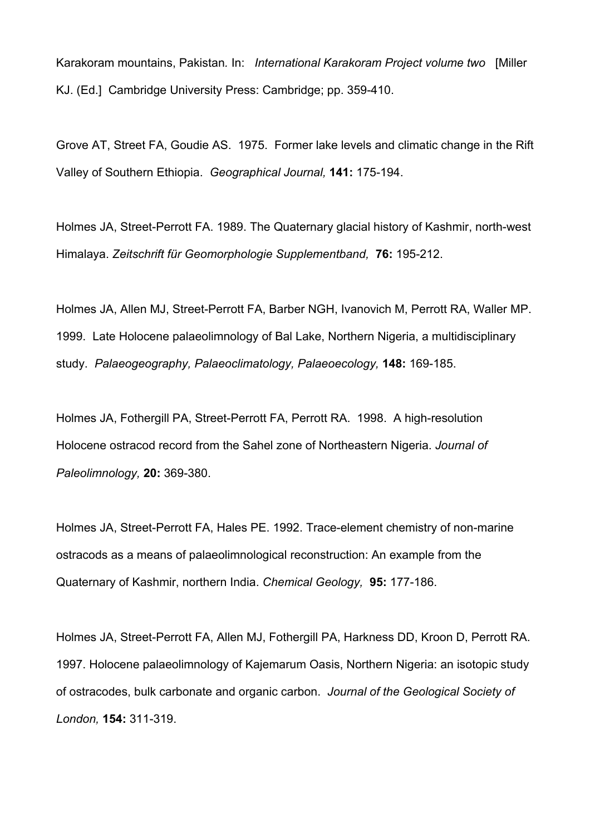Karakoram mountains, Pakistan*.* In: *International Karakoram Project volume two* [Miller KJ. (Ed.] Cambridge University Press: Cambridge; pp. 359-410.

Grove AT, Street FA, Goudie AS. 1975. Former lake levels and climatic change in the Rift Valley of Southern Ethiopia. *Geographical Journal,* **141:** 175-194.

Holmes JA, Street-Perrott FA. 1989. The Quaternary glacial history of Kashmir, north-west Himalaya. *Zeitschrift für Geomorphologie Supplementband,* **76:** 195-212.

Holmes JA, Allen MJ, Street-Perrott FA, Barber NGH, Ivanovich M, Perrott RA, Waller MP. 1999. Late Holocene palaeolimnology of Bal Lake, Northern Nigeria, a multidisciplinary study. *Palaeogeography, Palaeoclimatology, Palaeoecology,* **148:** 169-185.

Holmes JA, Fothergill PA, Street-Perrott FA, Perrott RA. 1998. A high-resolution Holocene ostracod record from the Sahel zone of Northeastern Nigeria. *Journal of Paleolimnology,* **20:** 369-380.

Holmes JA, Street-Perrott FA, Hales PE. 1992. Trace-element chemistry of non-marine ostracods as a means of palaeolimnological reconstruction: An example from the Quaternary of Kashmir, northern India. *Chemical Geology,* **95:** 177-186.

Holmes JA, Street-Perrott FA, Allen MJ, Fothergill PA, Harkness DD, Kroon D, Perrott RA. 1997. Holocene palaeolimnology of Kajemarum Oasis, Northern Nigeria: an isotopic study of ostracodes, bulk carbonate and organic carbon. *Journal of the Geological Society of London,* **154:** 311-319.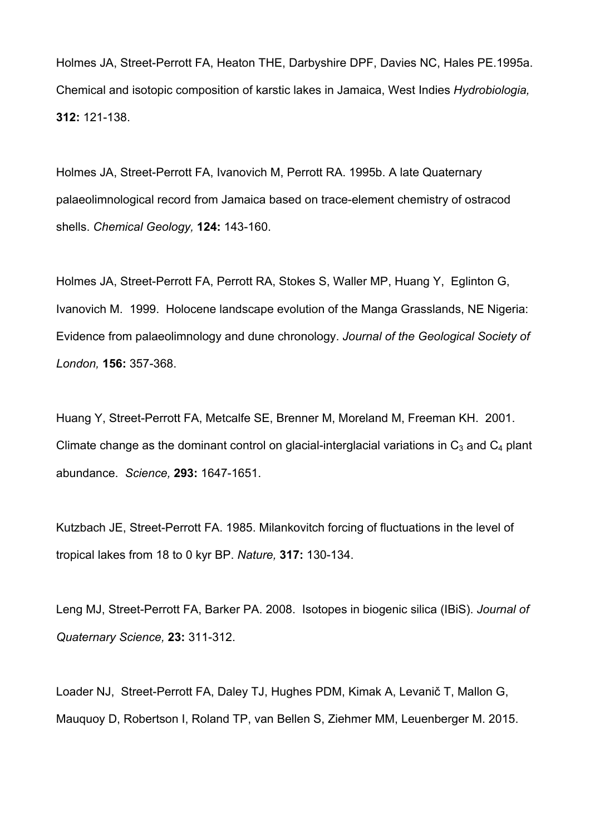Holmes JA, Street-Perrott FA, Heaton THE, Darbyshire DPF, Davies NC, Hales PE.1995a. Chemical and isotopic composition of karstic lakes in Jamaica, West Indies *Hydrobiologia,* **312:** 121-138.

Holmes JA, Street-Perrott FA, Ivanovich M, Perrott RA. 1995b. A late Quaternary palaeolimnological record from Jamaica based on trace-element chemistry of ostracod shells. *Chemical Geology,* **124:** 143-160.

Holmes JA, Street-Perrott FA, Perrott RA, Stokes S, Waller MP, Huang Y, Eglinton G, Ivanovich M. 1999. Holocene landscape evolution of the Manga Grasslands, NE Nigeria: Evidence from palaeolimnology and dune chronology. *Journal of the Geological Society of London,* **156:** 357-368.

Huang Y, Street-Perrott FA, Metcalfe SE, Brenner M, Moreland M, Freeman KH. 2001. Climate change as the dominant control on glacial-interglacial variations in  $C_3$  and  $C_4$  plant abundance. *Science,* **293:** 1647-1651.

Kutzbach JE, Street-Perrott FA. 1985. Milankovitch forcing of fluctuations in the level of tropical lakes from 18 to 0 kyr BP. *Nature,* **317:** 130-134.

Leng MJ, Street-Perrott FA, Barker PA. 2008. Isotopes in biogenic silica (IBiS). *Journal of Quaternary Science,* **23:** 311-312.

Loader NJ, Street-Perrott FA, Daley TJ, Hughes PDM, Kimak A, Levanič T, Mallon G, Mauquoy D, Robertson I, Roland TP, van Bellen S, Ziehmer MM, Leuenberger M. 2015.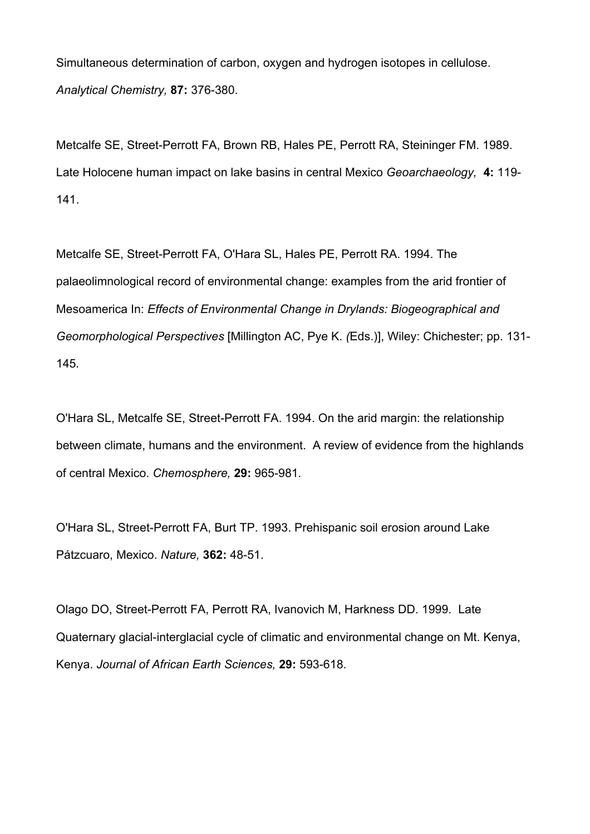Simultaneous determination of carbon, oxygen and hydrogen isotopes in cellulose. *Analytical Chemistry,* **87:** 376-380.

Metcalfe SE, Street-Perrott FA, Brown RB, Hales PE, Perrott RA, Steininger FM. 1989. Late Holocene human impact on lake basins in central Mexico *Geoarchaeology,* **4:** 119- 141.

Metcalfe SE, Street-Perrott FA, O'Hara SL, Hales PE, Perrott RA. 1994. The palaeolimnological record of environmental change: examples from the arid frontier of Mesoamerica In: *Effects of Environmental Change in Drylands: Biogeographical and Geomorphological Perspectives* [Millington AC, Pye K. *(*Eds.)], Wiley: Chichester; pp. 131- 145*.*

O'Hara SL, Metcalfe SE, Street-Perrott FA. 1994. On the arid margin: the relationship between climate, humans and the environment. A review of evidence from the highlands of central Mexico. *Chemosphere,* **29:** 965-981*.*

O'Hara SL, Street-Perrott FA, Burt TP. 1993. Prehispanic soil erosion around Lake Pátzcuaro, Mexico. *Nature,* **362:** 48-51.

Olago DO, Street-Perrott FA, Perrott RA, Ivanovich M, Harkness DD. 1999. Late Quaternary glacial-interglacial cycle of climatic and environmental change on Mt. Kenya, Kenya. *Journal of African Earth Sciences,* **29:** 593-618.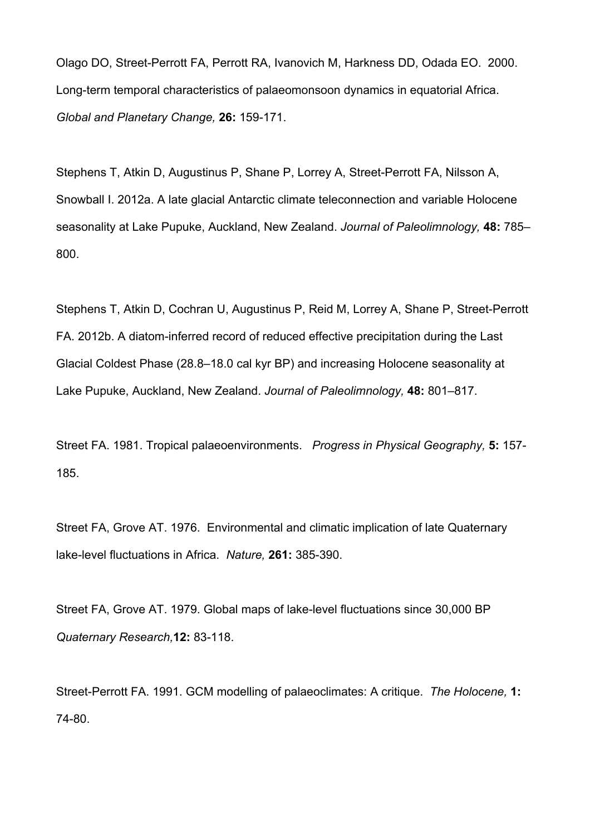Olago DO, Street-Perrott FA, Perrott RA, Ivanovich M, Harkness DD, Odada EO. 2000. Long-term temporal characteristics of palaeomonsoon dynamics in equatorial Africa. *Global and Planetary Change,* **26:** 159-171.

Stephens T, Atkin D, Augustinus P, Shane P, Lorrey A, Street-Perrott FA, Nilsson A, Snowball I. 2012a. A late glacial Antarctic climate teleconnection and variable Holocene seasonality at Lake Pupuke, Auckland, New Zealand. *Journal of Paleolimnology,* **48:** 785– 800.

Stephens T, Atkin D, Cochran U, Augustinus P, Reid M, Lorrey A, Shane P, Street-Perrott FA. 2012b. A diatom-inferred record of reduced effective precipitation during the Last Glacial Coldest Phase (28.8–18.0 cal kyr BP) and increasing Holocene seasonality at Lake Pupuke, Auckland, New Zealand. *Journal of Paleolimnology,* **48:** 801–817.

Street FA. 1981. Tropical palaeoenvironments. *Progress in Physical Geography,* **5:** 157- 185.

Street FA, Grove AT. 1976. Environmental and climatic implication of late Quaternary lake-level fluctuations in Africa. *Nature,* **261:** 385-390.

Street FA, Grove AT. 1979. Global maps of lake-level fluctuations since 30,000 BP *Quaternary Research,***12:** 83-118.

Street-Perrott FA. 1991. GCM modelling of palaeoclimates: A critique. *The Holocene,* **1:** 74-80.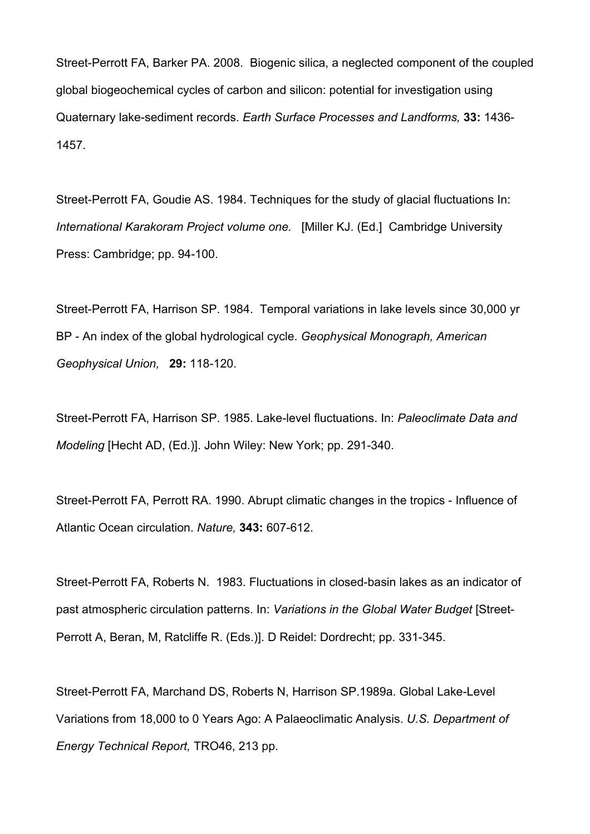Street-Perrott FA, Barker PA. 2008. Biogenic silica, a neglected component of the coupled global biogeochemical cycles of carbon and silicon: potential for investigation using Quaternary lake-sediment records. *Earth Surface Processes and Landforms,* **33:** 1436- 1457.

Street-Perrott FA, Goudie AS. 1984. Techniques for the study of glacial fluctuations In: *International Karakoram Project volume one.* [Miller KJ. (Ed.] Cambridge University Press: Cambridge; pp. 94-100.

Street-Perrott FA, Harrison SP. 1984. Temporal variations in lake levels since 30,000 yr BP - An index of the global hydrological cycle. *Geophysical Monograph, American Geophysical Union,* **29:** 118-120.

Street-Perrott FA, Harrison SP. 1985. Lake-level fluctuations. In: *Paleoclimate Data and Modeling* [Hecht AD, (Ed.)]. John Wiley: New York; pp. 291-340.

Street-Perrott FA, Perrott RA. 1990. Abrupt climatic changes in the tropics - Influence of Atlantic Ocean circulation. *Nature,* **343:** 607-612.

Street-Perrott FA, Roberts N. 1983. Fluctuations in closed-basin lakes as an indicator of past atmospheric circulation patterns. In: *Variations in the Global Water Budget* [Street-Perrott A, Beran, M, Ratcliffe R. (Eds.)]. D Reidel: Dordrecht; pp. 331-345.

Street-Perrott FA, Marchand DS, Roberts N, Harrison SP.1989a. Global Lake-Level Variations from 18,000 to 0 Years Ago: A Palaeoclimatic Analysis. *U.S. Department of Energy Technical Report,* TRO46, 213 pp.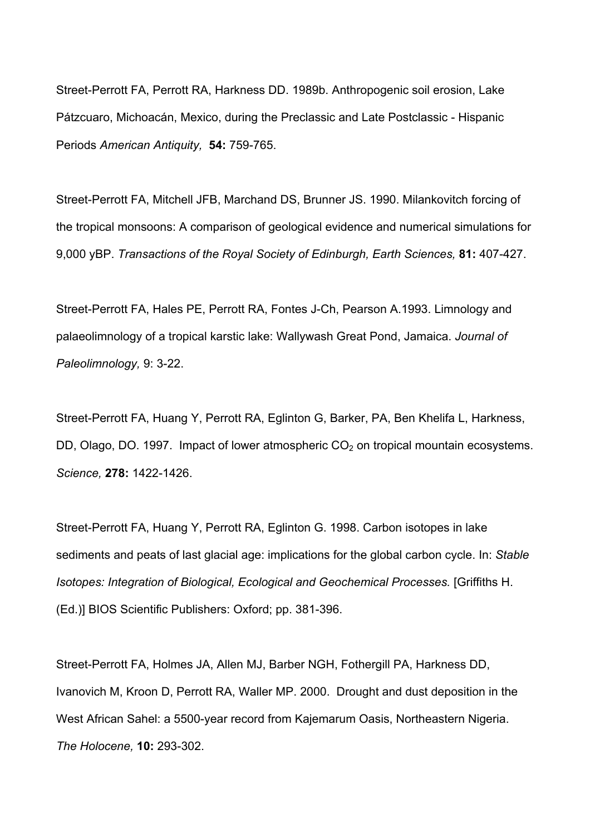Street-Perrott FA, Perrott RA, Harkness DD. 1989b. Anthropogenic soil erosion, Lake Pátzcuaro, Michoacán, Mexico, during the Preclassic and Late Postclassic - Hispanic Periods *American Antiquity,* **54:** 759-765.

Street-Perrott FA, Mitchell JFB, Marchand DS, Brunner JS. 1990. Milankovitch forcing of the tropical monsoons: A comparison of geological evidence and numerical simulations for 9,000 yBP. *Transactions of the Royal Society of Edinburgh, Earth Sciences,* **81:** 407-427.

Street-Perrott FA, Hales PE, Perrott RA, Fontes J-Ch, Pearson A.1993. Limnology and palaeolimnology of a tropical karstic lake: Wallywash Great Pond, Jamaica. *Journal of Paleolimnology,* 9: 3-22.

Street-Perrott FA, Huang Y, Perrott RA, Eglinton G, Barker, PA, Ben Khelifa L, Harkness, DD, Olago, DO. 1997. Impact of lower atmospheric  $CO<sub>2</sub>$  on tropical mountain ecosystems. *Science,* **278:** 1422-1426.

Street-Perrott FA, Huang Y, Perrott RA, Eglinton G. 1998. Carbon isotopes in lake sediments and peats of last glacial age: implications for the global carbon cycle. In: *Stable Isotopes: Integration of Biological, Ecological and Geochemical Processes.* [Griffiths H. (Ed.)] BIOS Scientific Publishers: Oxford; pp. 381-396.

Street-Perrott FA, Holmes JA, Allen MJ, Barber NGH, Fothergill PA, Harkness DD, Ivanovich M, Kroon D, Perrott RA, Waller MP. 2000. Drought and dust deposition in the West African Sahel: a 5500-year record from Kajemarum Oasis, Northeastern Nigeria. *The Holocene,* **10:** 293-302.